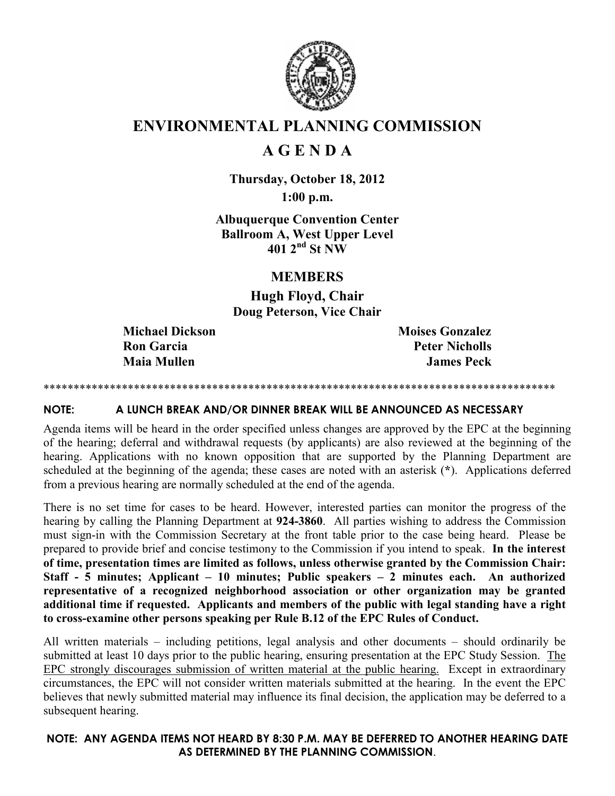

## ENVIRONMENTAL PLANNING COMMISSION

# A G E N D A

Thursday, October 18, 2012 1:00 p.m.

Albuquerque Convention Center Ballroom A, West Upper Level  $401^{2}$ <sup>nd</sup> St NW

## MEMBERS

Hugh Floyd, Chair Doug Peterson, Vice Chair

Michael Dickson Moises Gonzalez Ron Garcia Peter Nicholls **Maia Mullen James Peck** 

#### \*\*\*\*\*\*\*\*\*\*\*\*\*\*\*\*\*\*\*\*\*\*\*\*\*\*\*\*\*\*\*\*\*\*\*\*\*\*\*\*\*\*\*\*\*\*\*\*\*\*\*\*\*\*\*\*\*\*\*\*\*\*\*\*\*\*\*\*\*\*\*\*\*\*\*\*\*\*\*\*\*\*\*\*\*

#### NOTE: A LUNCH BREAK AND/OR DINNER BREAK WILL BE ANNOUNCED AS NECESSARY

Agenda items will be heard in the order specified unless changes are approved by the EPC at the beginning of the hearing; deferral and withdrawal requests (by applicants) are also reviewed at the beginning of the hearing. Applications with no known opposition that are supported by the Planning Department are scheduled at the beginning of the agenda; these cases are noted with an asterisk (\*). Applications deferred from a previous hearing are normally scheduled at the end of the agenda.

There is no set time for cases to be heard. However, interested parties can monitor the progress of the hearing by calling the Planning Department at 924-3860. All parties wishing to address the Commission must sign-in with the Commission Secretary at the front table prior to the case being heard. Please be prepared to provide brief and concise testimony to the Commission if you intend to speak. In the interest of time, presentation times are limited as follows, unless otherwise granted by the Commission Chair: Staff - 5 minutes; Applicant – 10 minutes; Public speakers – 2 minutes each. An authorized representative of a recognized neighborhood association or other organization may be granted additional time if requested. Applicants and members of the public with legal standing have a right to cross-examine other persons speaking per Rule B.12 of the EPC Rules of Conduct.

All written materials – including petitions, legal analysis and other documents – should ordinarily be submitted at least 10 days prior to the public hearing, ensuring presentation at the EPC Study Session. The EPC strongly discourages submission of written material at the public hearing. Except in extraordinary circumstances, the EPC will not consider written materials submitted at the hearing. In the event the EPC believes that newly submitted material may influence its final decision, the application may be deferred to a subsequent hearing.

## NOTE: ANY AGENDA ITEMS NOT HEARD BY 8:30 P.M. MAY BE DEFERRED TO ANOTHER HEARING DATE AS DETERMINED BY THE PLANNING COMMISSION.